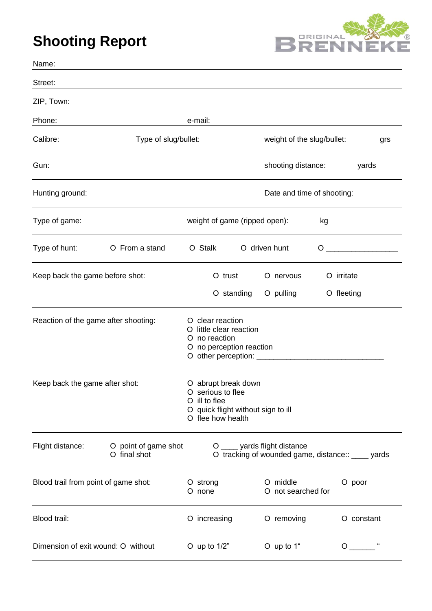## **Shooting Report**



| Name:                                |                                      |                            |                                                                                                                      |            |                            |  |                                                                                     |     |                                                                                                                                                                                                                                                                                                                                    |       |
|--------------------------------------|--------------------------------------|----------------------------|----------------------------------------------------------------------------------------------------------------------|------------|----------------------------|--|-------------------------------------------------------------------------------------|-----|------------------------------------------------------------------------------------------------------------------------------------------------------------------------------------------------------------------------------------------------------------------------------------------------------------------------------------|-------|
| Street:                              |                                      |                            |                                                                                                                      |            |                            |  |                                                                                     |     |                                                                                                                                                                                                                                                                                                                                    |       |
| ZIP, Town:                           |                                      |                            |                                                                                                                      |            |                            |  |                                                                                     |     |                                                                                                                                                                                                                                                                                                                                    |       |
| Phone:                               |                                      |                            | e-mail:                                                                                                              |            |                            |  |                                                                                     |     |                                                                                                                                                                                                                                                                                                                                    |       |
| Calibre:                             | Type of slug/bullet:                 |                            |                                                                                                                      |            | weight of the slug/bullet: |  |                                                                                     | grs |                                                                                                                                                                                                                                                                                                                                    |       |
| Gun:                                 |                                      |                            |                                                                                                                      |            |                            |  | shooting distance:                                                                  |     |                                                                                                                                                                                                                                                                                                                                    | yards |
| Hunting ground:                      |                                      | Date and time of shooting: |                                                                                                                      |            |                            |  |                                                                                     |     |                                                                                                                                                                                                                                                                                                                                    |       |
| Type of game:                        |                                      |                            | weight of game (ripped open):                                                                                        |            |                            |  |                                                                                     | kg  |                                                                                                                                                                                                                                                                                                                                    |       |
| Type of hunt:                        | O From a stand                       |                            | O Stalk                                                                                                              |            | O driven hunt              |  |                                                                                     |     | $\overline{O}$ and $\overline{O}$ and $\overline{O}$ and $\overline{O}$ and $\overline{O}$ and $\overline{O}$ and $\overline{O}$ and $\overline{O}$ and $\overline{O}$ and $\overline{O}$ and $\overline{O}$ and $\overline{O}$ and $\overline{O}$ and $\overline{O}$ and $\overline{O}$ and $\overline{O}$ and $\overline{O}$ and |       |
| Keep back the game before shot:      |                                      |                            |                                                                                                                      | O trust    |                            |  | O nervous                                                                           |     | O irritate                                                                                                                                                                                                                                                                                                                         |       |
|                                      |                                      |                            |                                                                                                                      | O standing |                            |  | O pulling                                                                           |     | O fleeting                                                                                                                                                                                                                                                                                                                         |       |
| Reaction of the game after shooting: |                                      |                            | O clear reaction<br>O little clear reaction<br>O no reaction<br>O no perception reaction                             |            |                            |  |                                                                                     |     |                                                                                                                                                                                                                                                                                                                                    |       |
| Keep back the game after shot:       |                                      |                            | O abrupt break down<br>O serious to flee<br>O ill to flee<br>O quick flight without sign to ill<br>O flee how health |            |                            |  |                                                                                     |     |                                                                                                                                                                                                                                                                                                                                    |       |
| Flight distance:                     | O point of game shot<br>O final shot |                            |                                                                                                                      |            |                            |  | O _____ yards flight distance<br>O tracking of wounded game, distance:: _____ yards |     |                                                                                                                                                                                                                                                                                                                                    |       |
| Blood trail from point of game shot: |                                      |                            | O strong<br>O none                                                                                                   |            |                            |  | O middle<br>O not searched for                                                      |     | O poor                                                                                                                                                                                                                                                                                                                             |       |
| Blood trail:                         |                                      |                            | O increasing                                                                                                         |            |                            |  | O removing                                                                          |     | O constant                                                                                                                                                                                                                                                                                                                         |       |
| Dimension of exit wound: O without   |                                      |                            | O up to $1/2$ "                                                                                                      |            |                            |  | O up to 1"                                                                          |     | $\circ$                                                                                                                                                                                                                                                                                                                            |       |